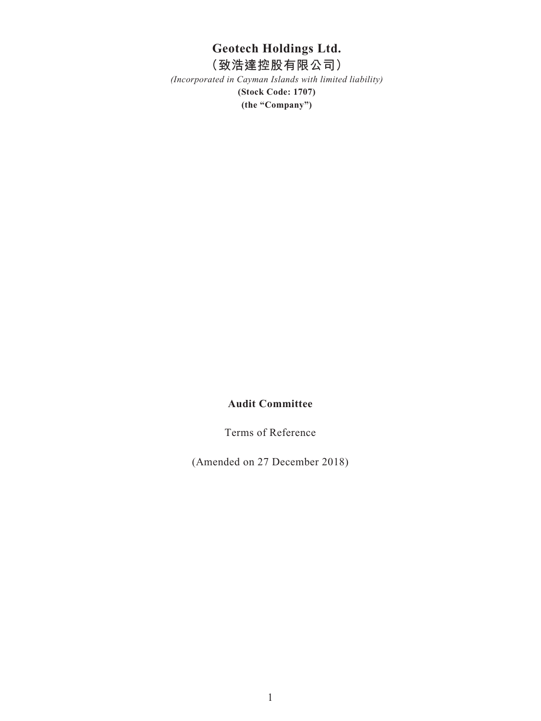# **Geotech Holdings Ltd.**

# **(致浩達控股有限公司)**

*(Incorporated in Cayman Islands with limited liability)* **(Stock Code: 1707) (the "Company")**

# **Audit Committee**

Terms of Reference

(Amended on 27 December 2018)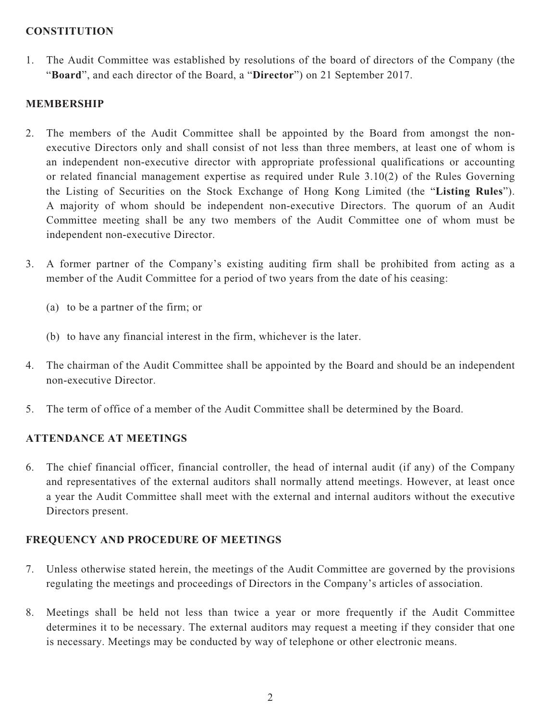#### **CONSTITUTION**

1. The Audit Committee was established by resolutions of the board of directors of the Company (the "**Board**", and each director of the Board, a "**Director**") on 21 September 2017.

# **MEMBERSHIP**

- 2. The members of the Audit Committee shall be appointed by the Board from amongst the nonexecutive Directors only and shall consist of not less than three members, at least one of whom is an independent non-executive director with appropriate professional qualifications or accounting or related financial management expertise as required under Rule 3.10(2) of the Rules Governing the Listing of Securities on the Stock Exchange of Hong Kong Limited (the "**Listing Rules**"). A majority of whom should be independent non-executive Directors. The quorum of an Audit Committee meeting shall be any two members of the Audit Committee one of whom must be independent non-executive Director.
- 3. A former partner of the Company's existing auditing firm shall be prohibited from acting as a member of the Audit Committee for a period of two years from the date of his ceasing:
	- (a) to be a partner of the firm; or
	- (b) to have any financial interest in the firm, whichever is the later.
- 4. The chairman of the Audit Committee shall be appointed by the Board and should be an independent non-executive Director.
- 5. The term of office of a member of the Audit Committee shall be determined by the Board.

## **ATTENDANCE AT MEETINGS**

6. The chief financial officer, financial controller, the head of internal audit (if any) of the Company and representatives of the external auditors shall normally attend meetings. However, at least once a year the Audit Committee shall meet with the external and internal auditors without the executive Directors present.

## **FREQUENCY AND PROCEDURE OF MEETINGS**

- 7. Unless otherwise stated herein, the meetings of the Audit Committee are governed by the provisions regulating the meetings and proceedings of Directors in the Company's articles of association.
- 8. Meetings shall be held not less than twice a year or more frequently if the Audit Committee determines it to be necessary. The external auditors may request a meeting if they consider that one is necessary. Meetings may be conducted by way of telephone or other electronic means.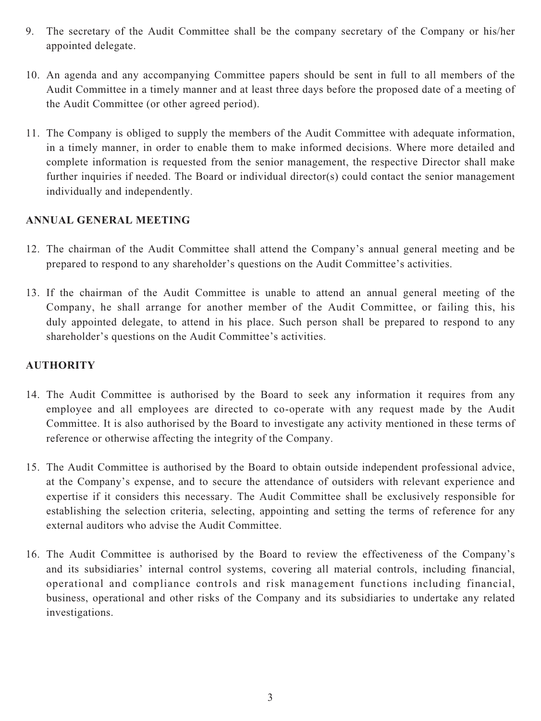- 9. The secretary of the Audit Committee shall be the company secretary of the Company or his/her appointed delegate.
- 10. An agenda and any accompanying Committee papers should be sent in full to all members of the Audit Committee in a timely manner and at least three days before the proposed date of a meeting of the Audit Committee (or other agreed period).
- 11. The Company is obliged to supply the members of the Audit Committee with adequate information, in a timely manner, in order to enable them to make informed decisions. Where more detailed and complete information is requested from the senior management, the respective Director shall make further inquiries if needed. The Board or individual director(s) could contact the senior management individually and independently.

#### **ANNUAL GENERAL MEETING**

- 12. The chairman of the Audit Committee shall attend the Company's annual general meeting and be prepared to respond to any shareholder's questions on the Audit Committee's activities.
- 13. If the chairman of the Audit Committee is unable to attend an annual general meeting of the Company, he shall arrange for another member of the Audit Committee, or failing this, his duly appointed delegate, to attend in his place. Such person shall be prepared to respond to any shareholder's questions on the Audit Committee's activities.

#### **AUTHORITY**

- 14. The Audit Committee is authorised by the Board to seek any information it requires from any employee and all employees are directed to co-operate with any request made by the Audit Committee. It is also authorised by the Board to investigate any activity mentioned in these terms of reference or otherwise affecting the integrity of the Company.
- 15. The Audit Committee is authorised by the Board to obtain outside independent professional advice, at the Company's expense, and to secure the attendance of outsiders with relevant experience and expertise if it considers this necessary. The Audit Committee shall be exclusively responsible for establishing the selection criteria, selecting, appointing and setting the terms of reference for any external auditors who advise the Audit Committee.
- 16. The Audit Committee is authorised by the Board to review the effectiveness of the Company's and its subsidiaries' internal control systems, covering all material controls, including financial, operational and compliance controls and risk management functions including financial, business, operational and other risks of the Company and its subsidiaries to undertake any related investigations.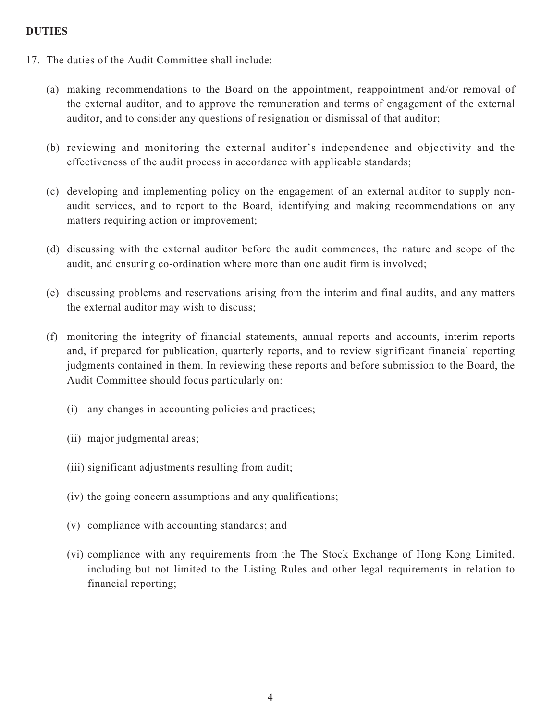#### **DUTIES**

- 17. The duties of the Audit Committee shall include:
	- (a) making recommendations to the Board on the appointment, reappointment and/or removal of the external auditor, and to approve the remuneration and terms of engagement of the external auditor, and to consider any questions of resignation or dismissal of that auditor;
	- (b) reviewing and monitoring the external auditor's independence and objectivity and the effectiveness of the audit process in accordance with applicable standards;
	- (c) developing and implementing policy on the engagement of an external auditor to supply nonaudit services, and to report to the Board, identifying and making recommendations on any matters requiring action or improvement;
	- (d) discussing with the external auditor before the audit commences, the nature and scope of the audit, and ensuring co-ordination where more than one audit firm is involved;
	- (e) discussing problems and reservations arising from the interim and final audits, and any matters the external auditor may wish to discuss;
	- (f) monitoring the integrity of financial statements, annual reports and accounts, interim reports and, if prepared for publication, quarterly reports, and to review significant financial reporting judgments contained in them. In reviewing these reports and before submission to the Board, the Audit Committee should focus particularly on:
		- (i) any changes in accounting policies and practices;
		- (ii) major judgmental areas;
		- (iii) significant adjustments resulting from audit;
		- (iv) the going concern assumptions and any qualifications;
		- (v) compliance with accounting standards; and
		- (vi) compliance with any requirements from the The Stock Exchange of Hong Kong Limited, including but not limited to the Listing Rules and other legal requirements in relation to financial reporting;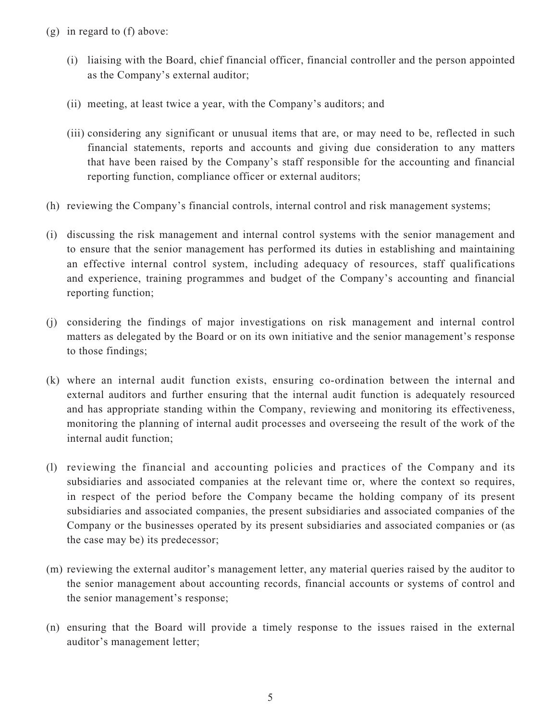- (g) in regard to (f) above:
	- (i) liaising with the Board, chief financial officer, financial controller and the person appointed as the Company's external auditor;
	- (ii) meeting, at least twice a year, with the Company's auditors; and
	- (iii) considering any significant or unusual items that are, or may need to be, reflected in such financial statements, reports and accounts and giving due consideration to any matters that have been raised by the Company's staff responsible for the accounting and financial reporting function, compliance officer or external auditors;
- (h) reviewing the Company's financial controls, internal control and risk management systems;
- (i) discussing the risk management and internal control systems with the senior management and to ensure that the senior management has performed its duties in establishing and maintaining an effective internal control system, including adequacy of resources, staff qualifications and experience, training programmes and budget of the Company's accounting and financial reporting function;
- (j) considering the findings of major investigations on risk management and internal control matters as delegated by the Board or on its own initiative and the senior management's response to those findings;
- (k) where an internal audit function exists, ensuring co-ordination between the internal and external auditors and further ensuring that the internal audit function is adequately resourced and has appropriate standing within the Company, reviewing and monitoring its effectiveness, monitoring the planning of internal audit processes and overseeing the result of the work of the internal audit function;
- (l) reviewing the financial and accounting policies and practices of the Company and its subsidiaries and associated companies at the relevant time or, where the context so requires, in respect of the period before the Company became the holding company of its present subsidiaries and associated companies, the present subsidiaries and associated companies of the Company or the businesses operated by its present subsidiaries and associated companies or (as the case may be) its predecessor;
- (m) reviewing the external auditor's management letter, any material queries raised by the auditor to the senior management about accounting records, financial accounts or systems of control and the senior management's response;
- (n) ensuring that the Board will provide a timely response to the issues raised in the external auditor's management letter;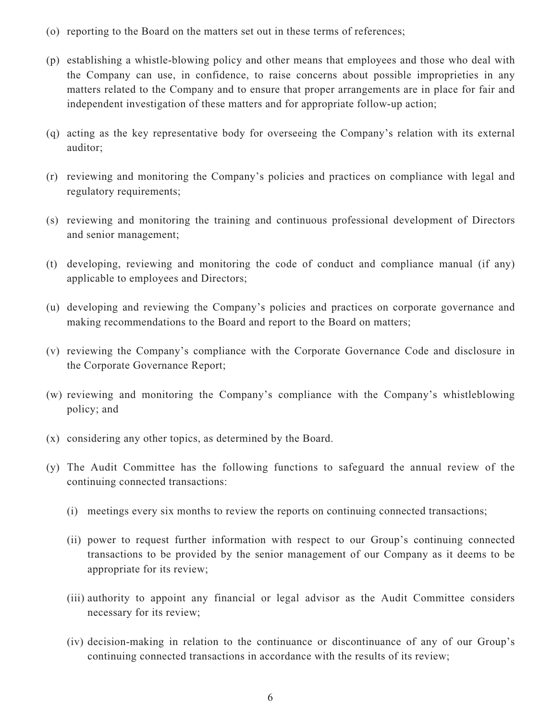- (o) reporting to the Board on the matters set out in these terms of references;
- (p) establishing a whistle-blowing policy and other means that employees and those who deal with the Company can use, in confidence, to raise concerns about possible improprieties in any matters related to the Company and to ensure that proper arrangements are in place for fair and independent investigation of these matters and for appropriate follow-up action;
- (q) acting as the key representative body for overseeing the Company's relation with its external auditor;
- (r) reviewing and monitoring the Company's policies and practices on compliance with legal and regulatory requirements;
- (s) reviewing and monitoring the training and continuous professional development of Directors and senior management;
- (t) developing, reviewing and monitoring the code of conduct and compliance manual (if any) applicable to employees and Directors;
- (u) developing and reviewing the Company's policies and practices on corporate governance and making recommendations to the Board and report to the Board on matters;
- (v) reviewing the Company's compliance with the Corporate Governance Code and disclosure in the Corporate Governance Report;
- (w) reviewing and monitoring the Company's compliance with the Company's whistleblowing policy; and
- (x) considering any other topics, as determined by the Board.
- (y) The Audit Committee has the following functions to safeguard the annual review of the continuing connected transactions:
	- (i) meetings every six months to review the reports on continuing connected transactions;
	- (ii) power to request further information with respect to our Group's continuing connected transactions to be provided by the senior management of our Company as it deems to be appropriate for its review;
	- (iii) authority to appoint any financial or legal advisor as the Audit Committee considers necessary for its review;
	- (iv) decision-making in relation to the continuance or discontinuance of any of our Group's continuing connected transactions in accordance with the results of its review;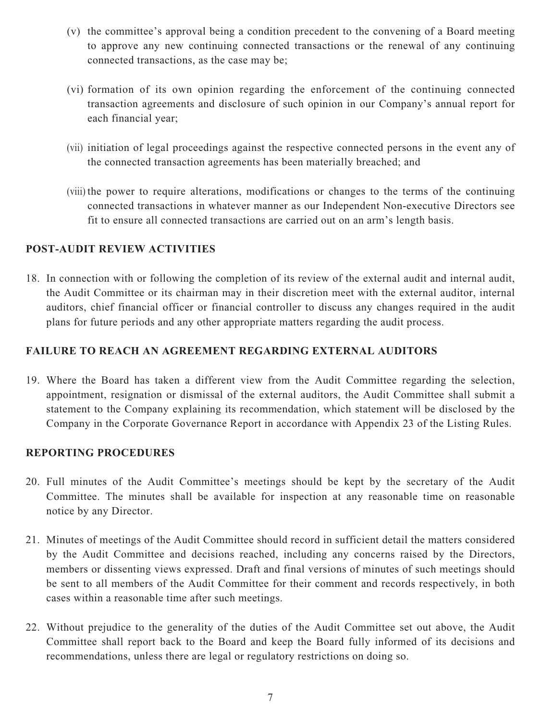- (v) the committee's approval being a condition precedent to the convening of a Board meeting to approve any new continuing connected transactions or the renewal of any continuing connected transactions, as the case may be;
- (vi) formation of its own opinion regarding the enforcement of the continuing connected transaction agreements and disclosure of such opinion in our Company's annual report for each financial year;
- (vii) initiation of legal proceedings against the respective connected persons in the event any of the connected transaction agreements has been materially breached; and
- (viii) the power to require alterations, modifications or changes to the terms of the continuing connected transactions in whatever manner as our Independent Non-executive Directors see fit to ensure all connected transactions are carried out on an arm's length basis.

#### **POST-AUDIT REVIEW ACTIVITIES**

18. In connection with or following the completion of its review of the external audit and internal audit, the Audit Committee or its chairman may in their discretion meet with the external auditor, internal auditors, chief financial officer or financial controller to discuss any changes required in the audit plans for future periods and any other appropriate matters regarding the audit process.

#### **FAILURE TO REACH AN AGREEMENT REGARDING EXTERNAL AUDITORS**

19. Where the Board has taken a different view from the Audit Committee regarding the selection, appointment, resignation or dismissal of the external auditors, the Audit Committee shall submit a statement to the Company explaining its recommendation, which statement will be disclosed by the Company in the Corporate Governance Report in accordance with Appendix 23 of the Listing Rules.

#### **REPORTING PROCEDURES**

- 20. Full minutes of the Audit Committee's meetings should be kept by the secretary of the Audit Committee. The minutes shall be available for inspection at any reasonable time on reasonable notice by any Director.
- 21. Minutes of meetings of the Audit Committee should record in sufficient detail the matters considered by the Audit Committee and decisions reached, including any concerns raised by the Directors, members or dissenting views expressed. Draft and final versions of minutes of such meetings should be sent to all members of the Audit Committee for their comment and records respectively, in both cases within a reasonable time after such meetings.
- 22. Without prejudice to the generality of the duties of the Audit Committee set out above, the Audit Committee shall report back to the Board and keep the Board fully informed of its decisions and recommendations, unless there are legal or regulatory restrictions on doing so.